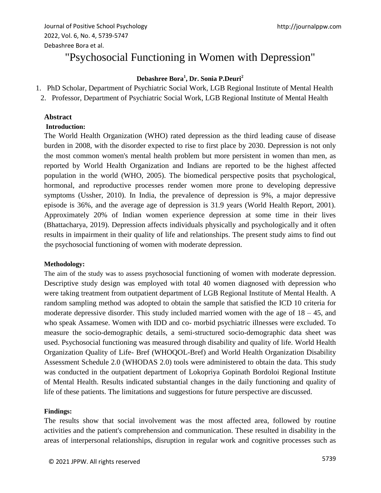# "Psychosocial Functioning in Women with Depression"

# **Debashree Bora<sup>1</sup> , Dr. Sonia P.Deuri<sup>2</sup>**

- 1. PhD Scholar, Department of Psychiatric Social Work, LGB Regional Institute of Mental Health
- 2. Professor, Department of Psychiatric Social Work, LGB Regional Institute of Mental Health

## **Abstract**

#### **Introduction:**

The World Health Organization (WHO) rated depression as the third leading cause of disease burden in 2008, with the disorder expected to rise to first place by 2030. Depression is not only the most common women's mental health problem but more persistent in women than men, as reported by World Health Organization and Indians are reported to be the highest affected population in the world (WHO, 2005). The biomedical perspective posits that psychological, hormonal, and reproductive processes render women more prone to developing depressive symptoms (Ussher, 2010). In India, the prevalence of depression is 9%, a major depressive episode is 36%, and the average age of depression is 31.9 years (World Health Report, 2001). Approximately 20% of Indian women experience depression at some time in their lives (Bhattacharya, 2019). Depression affects individuals physically and psychologically and it often results in impairment in their quality of life and relationships. The present study aims to find out the psychosocial functioning of women with moderate depression.

#### **Methodology:**

The aim of the study was to assess psychosocial functioning of women with moderate depression. Descriptive study design was employed with total 40 women diagnosed with depression who were taking treatment from outpatient department of LGB Regional Institute of Mental Health. A random sampling method was adopted to obtain the sample that satisfied the ICD 10 criteria for moderate depressive disorder. This study included married women with the age of  $18 - 45$ , and who speak Assamese. Women with IDD and co- morbid psychiatric illnesses were excluded. To measure the socio-demographic details, a semi-structured socio-demographic data sheet was used. Psychosocial functioning was measured through disability and quality of life. World Health Organization Quality of Life- Bref (WHOQOL-Bref) and World Health Organization Disability Assessment Schedule 2.0 (WHODAS 2.0) tools were administered to obtain the data. This study was conducted in the outpatient department of Lokopriya Gopinath Bordoloi Regional Institute of Mental Health. Results indicated substantial changes in the daily functioning and quality of life of these patients. The limitations and suggestions for future perspective are discussed.

#### **Findings:**

The results show that social involvement was the most affected area, followed by routine activities and the patient's comprehension and communication. These resulted in disability in the areas of interpersonal relationships, disruption in regular work and cognitive processes such as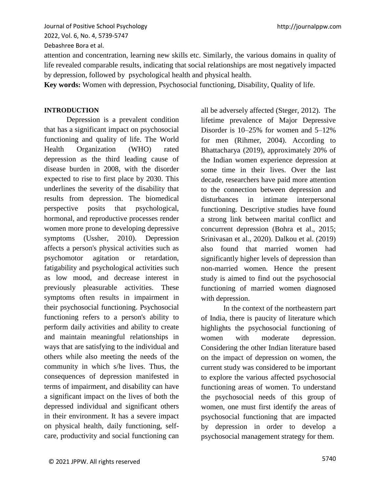http://journalppw.com

Journal of Positive School Psychology 2022, Vol. 6, No. 4, 5739-5747 Debashree Bora et al.

attention and concentration, learning new skills etc. Similarly, the various domains in quality of life revealed comparable results, indicating that social relationships are most negatively impacted by depression, followed by psychological health and physical health.

**Key words:** Women with depression, Psychosocial functioning, Disability, Quality of life.

## **INTRODUCTION**

Depression is a prevalent condition that has a significant impact on psychosocial functioning and quality of life. The World Health Organization (WHO) rated depression as the third leading cause of disease burden in 2008, with the disorder expected to rise to first place by 2030. This underlines the severity of the disability that results from depression. The biomedical perspective posits that psychological, hormonal, and reproductive processes render women more prone to developing depressive symptoms (Ussher, 2010). Depression affects a person's physical activities such as psychomotor agitation or retardation, fatigability and psychological activities such as low mood, and decrease interest in previously pleasurable activities. These symptoms often results in impairment in their psychosocial functioning. Psychosocial functioning refers to a person's ability to perform daily activities and ability to create and maintain meaningful relationships in ways that are satisfying to the individual and others while also meeting the needs of the community in which s/he lives. Thus, the consequences of depression manifested in terms of impairment, and disability can have a significant impact on the lives of both the depressed individual and significant others in their environment. It has a severe impact on physical health, daily functioning, selfcare, productivity and social functioning can

all be adversely affected (Steger, 2012). The lifetime prevalence of Major Depressive Disorder is 10–25% for women and 5–12% for men (Rihmer, 2004). According to Bhattacharya (2019), approximately 20% of the Indian women experience depression at some time in their lives. Over the last decade, researchers have paid more attention to the connection between depression and disturbances in intimate interpersonal functioning. Descriptive studies have found a strong link between marital conflict and concurrent depression (Bohra et al., 2015; Srinivasan et al., 2020). Dalkou et al. (2019) also found that married women had significantly higher levels of depression than non-married women. Hence the present study is aimed to find out the psychosocial functioning of married women diagnosed with depression.

In the context of the northeastern part of India, there is paucity of literature which highlights the psychosocial functioning of women with moderate depression. Considering the other Indian literature based on the impact of depression on women, the current study was considered to be important to explore the various affected psychosocial functioning areas of women. To understand the psychosocial needs of this group of women, one must first identify the areas of psychosocial functioning that are impacted by depression in order to develop a psychosocial management strategy for them.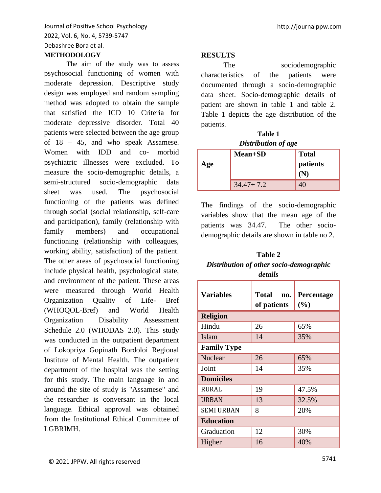# **METHODOLOGY**

The aim of the study was to assess psychosocial functioning of women with moderate depression. Descriptive study design was employed and random sampling method was adopted to obtain the sample that satisfied the ICD 10 Criteria for moderate depressive disorder. Total 40 patients were selected between the age group of 18 – 45, and who speak Assamese. Women with IDD and co- morbid psychiatric illnesses were excluded. To measure the socio-demographic details, a semi-structured socio-demographic data sheet was used. The psychosocial functioning of the patients was defined through social (social relationship, self-care and participation), family (relationship with family members) and occupational functioning (relationship with colleagues, working ability, satisfaction) of the patient. The other areas of psychosocial functioning include physical health, psychological state, and environment of the patient. These areas were measured through World Health Organization Quality of Life- Bref (WHOQOL-Bref) and World Health Organization Disability Assessment Schedule 2.0 (WHODAS 2.0). This study was conducted in the outpatient department of Lokopriya Gopinath Bordoloi Regional Institute of Mental Health. The outpatient department of the hospital was the setting for this study. The main language in and around the site of study is "Assamese" and the researcher is conversant in the local language. Ethical approval was obtained from the Institutional Ethical Committee of LGBRIMH.

## **RESULTS**

The sociodemographic characteristics of the patients were documented through a socio-demographic data sheet. Socio-demographic details of patient are shown in table 1 and table 2. Table 1 depicts the age distribution of the patients.

| Table 1                    |  |  |  |  |  |
|----------------------------|--|--|--|--|--|
| <b>Distribution of age</b> |  |  |  |  |  |

| Age | <b>Mean+SD</b> | <b>Total</b><br>patients<br>$\mathbf{N}$ |
|-----|----------------|------------------------------------------|
|     | $34.47 + 7.2$  |                                          |

The findings of the socio-demographic variables show that the mean age of the patients was 34.47. The other sociodemographic details are shown in table no 2.

# **Table 2** *Distribution of other socio-demographic details*

| <b>Variables</b>   | <b>Total</b><br>no.<br>of patients | Percentage<br>(%) |  |  |  |
|--------------------|------------------------------------|-------------------|--|--|--|
| <b>Religion</b>    |                                    |                   |  |  |  |
| Hindu              | 26                                 | 65%               |  |  |  |
| Islam              | 14                                 | 35%               |  |  |  |
| <b>Family Type</b> |                                    |                   |  |  |  |
| Nuclear            | 26                                 | 65%               |  |  |  |
| Joint              | 14                                 | 35%               |  |  |  |
| <b>Domiciles</b>   |                                    |                   |  |  |  |
| <b>RURAL</b>       | 19                                 | 47.5%             |  |  |  |
| <b>URBAN</b>       | 13                                 | 32.5%             |  |  |  |
| <b>SEMI URBAN</b>  | 8                                  | 20%               |  |  |  |
| <b>Education</b>   |                                    |                   |  |  |  |
| Graduation         | 12                                 | 30%               |  |  |  |
| Higher             | 16                                 | 40%               |  |  |  |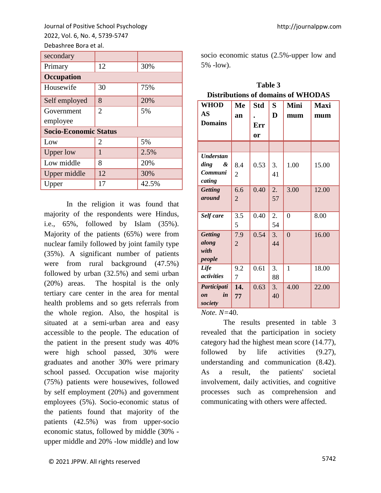| secondary                    |                |       |  |  |
|------------------------------|----------------|-------|--|--|
| Primary                      | 12             | 30%   |  |  |
| <b>Occupation</b>            |                |       |  |  |
| Housewife                    | 30             | 75%   |  |  |
| Self employed                | 8              | 20%   |  |  |
| Government                   | $\overline{2}$ | 5%    |  |  |
| employee                     |                |       |  |  |
| <b>Socio-Economic Status</b> |                |       |  |  |
| Low                          | 2              | 5%    |  |  |
| <b>Upper low</b>             | 1              | 2.5%  |  |  |
| Low middle                   | 8              | 20%   |  |  |
| Upper middle                 | 12             | 30%   |  |  |
| Upper                        | 17             | 42.5% |  |  |

In the religion it was found that majority of the respondents were Hindus, i.e., 65%, followed by Islam (35%). Majority of the patients (65%) were from nuclear family followed by joint family type (35%). A significant number of patients were from rural background (47.5%) followed by urban (32.5%) and semi urban (20%) areas. The hospital is the only tertiary care center in the area for mental health problems and so gets referrals from the whole region. Also, the hospital is situated at a semi-urban area and easy accessible to the people. The education of the patient in the present study was 40% were high school passed, 30% were graduates and another 30% were primary school passed. Occupation wise majority (75%) patients were housewives, followed by self employment (20%) and government employees (5%). Socio-economic status of the patients found that majority of the patients (42.5%) was from upper-socio economic status, followed by middle (30% upper middle and 20% -low middle) and low

http://journalppw.com

socio economic status (2.5%-upper low and 5% -low).

**Table 3**

| <b>Distributions of domains of WHODAS</b>          |                       |                         |          |                |                    |
|----------------------------------------------------|-----------------------|-------------------------|----------|----------------|--------------------|
| <b>WHOD</b><br>AS<br><b>Domains</b>                | Me<br>an              | <b>Std</b><br>Err<br>or | S<br>D   | Mini<br>mum    | <b>Maxi</b><br>mum |
|                                                    |                       |                         |          |                |                    |
| <b>Understan</b><br>ding<br>&<br>Communi<br>cating | 8.4<br>$\overline{2}$ | 0.53                    | 3.<br>41 | 1.00           | 15.00              |
| <b>Getting</b><br>around                           | 6.6<br>$\overline{2}$ | 0.40                    | 2.<br>57 | 3.00           | 12.00              |
| Self care                                          | 3.5<br>5              | 0.40                    | 2.<br>54 | $\overline{0}$ | 8.00               |
| Getting<br>along<br>with<br>people                 | 7.9<br>$\overline{2}$ | 0.54                    | 3.<br>44 | $\overline{0}$ | 16.00              |
| Life<br>activities                                 | 9.2<br>7              | 0.61                    | 3.<br>88 | $\mathbf{1}$   | 18.00              |
| Participati<br>in<br>$\mathbf{0}n$<br>society      | 14.<br>77             | 0.63                    | 3.<br>40 | 4.00           | 22.00              |

*Note. N=*40.

The results presented in table 3 revealed that the participation in society category had the highest mean score (14.77), followed by life activities (9.27), understanding and communication (8.42). As a result, the patients' societal involvement, daily activities, and cognitive processes such as comprehension and communicating with others were affected.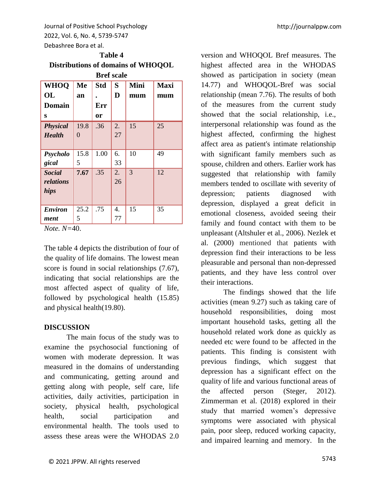| Table 4                            |
|------------------------------------|
| Distributions of domains of WHOQOL |
| <b>Bref</b> scale                  |

| ргег эсан                          |                  |            |          |      |             |
|------------------------------------|------------------|------------|----------|------|-------------|
| <b>WHOQ</b>                        | Me               | <b>Std</b> | S        | Mini | <b>Maxi</b> |
| <b>OL</b>                          | an               |            | D        | mum  | mum         |
| <b>Domain</b>                      |                  | Err        |          |      |             |
| S                                  |                  | <b>or</b>  |          |      |             |
| <b>Physical</b><br><b>Health</b>   | 19.8<br>$\theta$ | .36        | 2.<br>27 | 15   | 25          |
| Psycholo<br>gical                  | 15.8<br>5        | 1.00       | 6.<br>33 | 10   | 49          |
| <b>Social</b><br>relations<br>hips | 7.67             | .35        | 2.<br>26 | 3    | 12          |
| <b>Environ</b><br>ment             | 25.2<br>5        | .75        | 4.<br>77 | 15   | 35          |

*Note. N=*40.

The table 4 depicts the distribution of four of the quality of life domains. The lowest mean score is found in social relationships (7.67), indicating that social relationships are the most affected aspect of quality of life, followed by psychological health (15.85) and physical health(19.80).

# **DISCUSSION**

The main focus of the study was to examine the psychosocial functioning of women with moderate depression. It was measured in the domains of understanding and communicating, getting around and getting along with people, self care, life activities, daily activities, participation in society, physical health, psychological health, social participation and environmental health. The tools used to assess these areas were the WHODAS 2.0

version and WHOQOL Bref measures. The highest affected area in the WHODAS showed as participation in society (mean 14.77) and WHOQOL-Bref was social relationship (mean 7.76). The results of both of the measures from the current study showed that the social relationship, i.e., interpersonal relationship was found as the highest affected, confirming the highest affect area as patient's intimate relationship with significant family members such as spouse, children and others. Earlier work has suggested that relationship with family members tended to oscillate with severity of depression; patients diagnosed with depression, displayed a great deficit in emotional closeness, avoided seeing their family and found contact with them to be unpleasant (Altshuler et al., 2006). Nezlek et al. (2000) mentioned that patients with depression find their interactions to be less pleasurable and personal than non-depressed patients, and they have less control over their interactions.

The findings showed that the life activities (mean 9.27) such as taking care of household responsibilities, doing most important household tasks, getting all the household related work done as quickly as needed etc were found to be affected in the patients. This finding is consistent with previous findings, which suggest that depression has a significant effect on the quality of life and various functional areas of the affected person (Steger, 2012). Zimmerman et al. (2018) explored in their study that married women's depressive symptoms were associated with physical pain, poor sleep, reduced working capacity, and impaired learning and memory. In the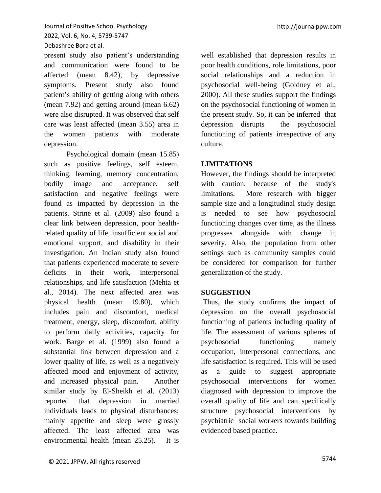present study also patient's understanding and communication were found to be affected (mean 8.42), by depressive symptoms. Present study also found patient's ability of getting along with others (mean 7.92) and getting around (mean 6.62) were also disrupted. It was observed that self care was least affected (mean 3.55) area in the women patients with moderate depression.

Psychological domain (mean 15.85) such as positive feelings, self esteem, thinking, learning, memory concentration, bodily image and acceptance, self satisfaction and negative feelings were found as impacted by depression in the patients. Strine et al. (2009) also found a clear link between depression, poor healthrelated quality of life, insufficient social and emotional support, and disability in their investigation. An Indian study also found that patients experienced moderate to severe deficits in their work, interpersonal relationships, and life satisfaction (Mehta et al., 2014). The next affected area was physical health (mean 19.80), which includes pain and discomfort, medical treatment, energy, sleep, discomfort, ability to perform daily activities, capacity for work. Barge et al. (1999) also found a substantial link between depression and a lower quality of life, as well as a negatively affected mood and enjoyment of activity, and increased physical pain. Another similar study by El-Sheikh et al. (2013) reported that depression in married individuals leads to physical disturbances; mainly appetite and sleep were grossly affected. The least affected area was environmental health (mean 25.25). It is

well established that depression results in poor health conditions, role limitations, poor social relationships and a reduction in psychosocial well-being (Goldney et al., 2000). All these studies support the findings on the psychosocial functioning of women in the present study. So, it can be inferred that depression disrupts the psychosocial functioning of patients irrespective of any culture.

# **LIMITATIONS**

However, the findings should be interpreted with caution, because of the study's limitations. More research with bigger sample size and a longitudinal study design is needed to see how psychosocial functioning changes over time, as the illness progresses alongside with change in severity. Also, the population from other settings such as community samples could be considered for comparison for further generalization of the study.

#### **SUGGESTION**

Thus, the study confirms the impact of depression on the overall psychosocial functioning of patients including quality of life. The assessment of various spheres of psychosocial functioning namely occupation, interpersonal connections, and life satisfaction is required. This will be used as a guide to suggest appropriate psychosocial interventions for women diagnosed with depression to improve the overall quality of life and can specifically structure psychosocial interventions by psychiatric social workers towards building evidenced based practice.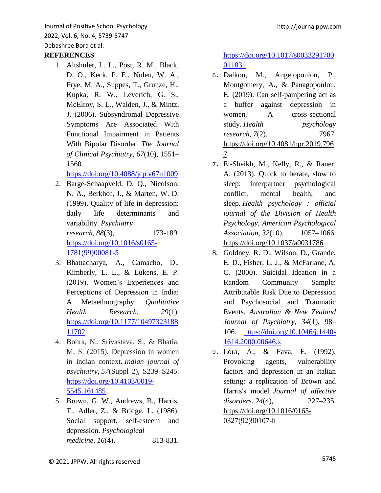# **REFERENCES**

1. Altshuler, L. L., Post, R. M., Black, D. O., Keck, P. E., Nolen, W. A., Frye, M. A., Suppes, T., Grunze, H., Kupka, R. W., Leverich, G. S., McElroy, S. L., Walden, J., & Mintz, J. (2006). Subsyndromal Depressive Symptoms Are Associated With Functional Impairment in Patients With Bipolar Disorder. *The Journal of Clinical Psychiatry*, *67*(10), 1551– 1560.

<https://doi.org/10.4088/jcp.v67n1009>

2. Barge-Schaapveld, D. Q., Nicolson, N. A., Berkhof, J., & Marten, W. D. (1999). Quality of life in depression: daily life determinants and variability. *Psychiatry research*, *88*(3), 173-189. [https://doi.org/10.1016/s0165-](https://doi.org/10.1016/s0165-1781(99)00081-5)

[1781\(99\)00081-5](https://doi.org/10.1016/s0165-1781(99)00081-5)

- 3. Bhattacharya, A., Camacho, D., Kimberly, L. L., & Lukens, E. P. (2019). Women's Experiences and Perceptions of Depression in India: A Metaethnography. *Qualitative Health Research*, *29*(1). [https://doi.org/10.1177/10497323188](https://doi.org/10.1177/1049732318811702) [11702](https://doi.org/10.1177/1049732318811702)
- 4. Bohra, N., Srivastava, S., & Bhatia, M. S. (2015). Depression in women in Indian context. *Indian journal of psychiatry*, *57*(Suppl 2), S239–S245. [https://doi.org/10.4103/0019-](https://doi.org/10.4103/0019-5545.161485) [5545.161485](https://doi.org/10.4103/0019-5545.161485)
- 5. Brown, G. W., Andrews, B., Harris, T., Adler, Z., & Bridge, L. (1986). Social support, self-esteem and depression. *Psychological medicine*, *16*(4), 813-831.

[https://doi.org/10.1017/s0033291700](https://doi.org/10.1017/s0033291700011831) [011831](https://doi.org/10.1017/s0033291700011831)

- 6. Dalkou, M., Angelopoulou, P., Montgomery, A., & Panagopoulou, E. (2019). Can self-pampering act as a buffer against depression in women? A cross-sectional study. *Health psychology research*, *7*(2), 7967. [https://doi.org/10.4081/hpr.2019.796](https://doi.org/10.4081/hpr.2019.7967) [7](https://doi.org/10.4081/hpr.2019.7967)
- 7. El-Sheikh, M., Kelly, R., & Rauer, A. (2013). Quick to berate, slow to sleep: interpartner psychological conflict, mental health, and sleep. *Health psychology : official journal of the Division of Health Psychology, American Psychological Association*, *32*(10), 1057–1066. <https://doi.org/10.1037/a0031786>
- 8. Goldney, R. D., Wilson, D., Grande, E. D., Fisher, L. J., & McFarlane, A. C. (2000). Suicidal Ideation in a Random Community Sample: Attributable Risk Due to Depression and Psychosocial and Traumatic Events. *Australian & New Zealand Journal of Psychiatry*, *34*(1), 98– 106. [https://doi.org/10.1046/j.1440-](https://doi.org/10.1046/j.1440-1614.2000.00646.x) [1614.2000.00646.x](https://doi.org/10.1046/j.1440-1614.2000.00646.x)
- 9. Lora, A., & Fava, E. (1992). Provoking agents, vulnerability factors and depression in an Italian setting: a replication of Brown and Harris's model. *Journal of affective disorders*, *24*(4), 227–235. [https://doi.org/10.1016/0165-](https://doi.org/10.1016/0165-0327(92)90107-h) [0327\(92\)90107-h](https://doi.org/10.1016/0165-0327(92)90107-h)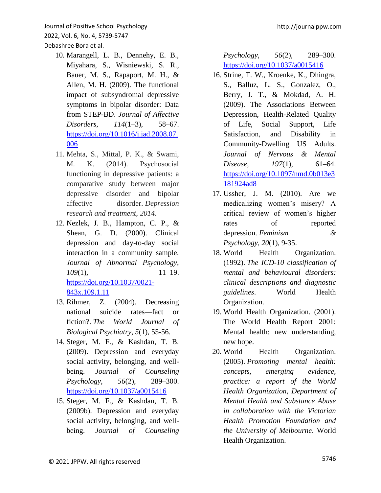- 10. Marangell, L. B., Dennehy, E. B., Miyahara, S., Wisniewski, S. R., Bauer, M. S., Rapaport, M. H., & Allen, M. H. (2009). The functional impact of subsyndromal depressive symptoms in bipolar disorder: Data from STEP-BD. *Journal of Affective Disorders*, *114*(1–3), 58–67. [https://doi.org/10.1016/j.jad.2008.07.](https://doi.org/10.1016/j.jad.2008.07.006) [006](https://doi.org/10.1016/j.jad.2008.07.006)
- 11. Mehta, S., Mittal, P. K., & Swami, M. K. (2014). Psychosocial functioning in depressive patients: a comparative study between major depressive disorder and bipolar affective disorder. *Depression research and treatment*, *2014*.
- 12. Nezlek, J. B., Hampton, C. P., & Shean, G. D. (2000). Clinical depression and day-to-day social interaction in a community sample. *Journal of Abnormal Psychology*, *109*(1), 11–19. [https://doi.org/10.1037/0021-](https://doi.org/10.1037/0021-843x.109.1.11) [843x.109.1.11](https://doi.org/10.1037/0021-843x.109.1.11)
- 13. Rihmer, Z. (2004). Decreasing national suicide rates—fact or fiction?. *The World Journal of Biological Psychiatry*, *5*(1), 55-56.
- 14. Steger, M. F., & Kashdan, T. B. (2009). Depression and everyday social activity, belonging, and wellbeing. *Journal of Counseling Psychology*, *56*(2), 289–300. <https://doi.org/10.1037/a0015416>
- 15. Steger, M. F., & Kashdan, T. B. (2009b). Depression and everyday social activity, belonging, and wellbeing. *Journal of Counseling*

*Psychology*, *56*(2), 289–300. <https://doi.org/10.1037/a0015416>

- 16. Strine, T. W., Kroenke, K., Dhingra, S., Balluz, L. S., Gonzalez, O., Berry, J. T., & Mokdad, A. H. (2009). The Associations Between Depression, Health-Related Quality of Life, Social Support, Life Satisfaction, and Disability in Community-Dwelling US Adults. *Journal of Nervous & Mental Disease*, *197*(1), 61–64. [https://doi.org/10.1097/nmd.0b013e3](https://doi.org/10.1097/nmd.0b013e3181924ad8) [181924ad8](https://doi.org/10.1097/nmd.0b013e3181924ad8)
- 17. Ussher, J. M. (2010). Are we medicalizing women's misery? A critical review of women's higher rates of reported depression. *Feminism & Psychology*, *20*(1), 9-35.
- 18. World Health Organization. (1992). *The ICD-10 classification of mental and behavioural disorders: clinical descriptions and diagnostic guidelines*. World Health Organization.
- 19. World Health Organization. (2001). The World Health Report 2001: Mental health: new understanding, new hope.
- 20. World Health Organization. (2005). *Promoting mental health: concepts, emerging evidence, practice: a report of the World Health Organization, Department of Mental Health and Substance Abuse in collaboration with the Victorian Health Promotion Foundation and the University of Melbourne*. World Health Organization.